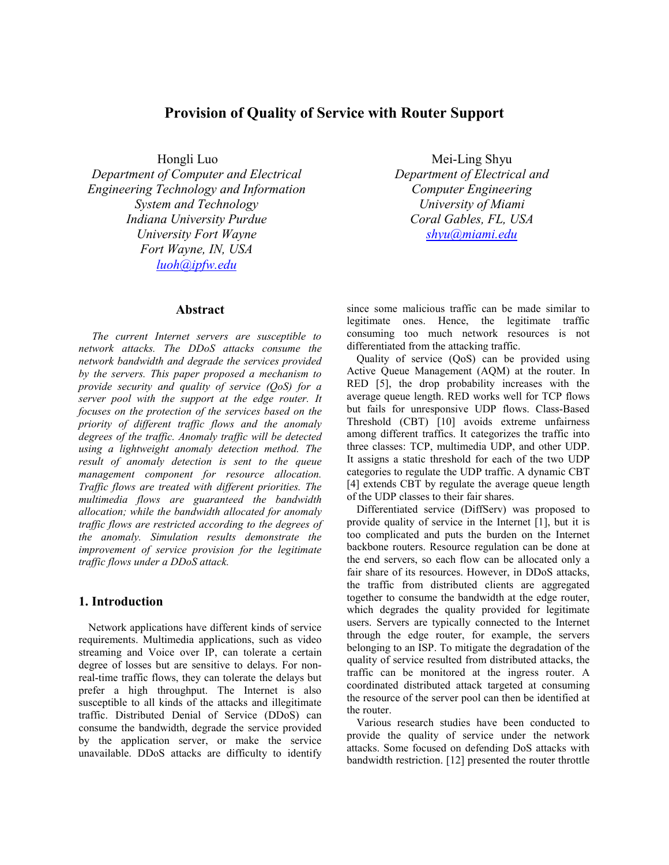# **Provision of Quality of Service with Router Support**

Hongli Luo

*Department of Computer and Electrical Engineering Technology and Information System and Technology Indiana University Purdue University Fort Wayne Fort Wayne, IN, USA luoh@ipfw.edu*

#### **Abstract**

*The current Internet servers are susceptible to network attacks. The DDoS attacks consume the network bandwidth and degrade the services provided by the servers. This paper proposed a mechanism to provide security and quality of service (QoS) for a server pool with the support at the edge router. It focuses on the protection of the services based on the priority of different traffic flows and the anomaly degrees of the traffic. Anomaly traffic will be detected using a lightweight anomaly detection method. The result of anomaly detection is sent to the queue management component for resource allocation. Traffic flows are treated with different priorities. The multimedia flows are guaranteed the bandwidth allocation; while the bandwidth allocated for anomaly traffic flows are restricted according to the degrees of the anomaly. Simulation results demonstrate the improvement of service provision for the legitimate traffic flows under a DDoS attack.* 

## **1. Introduction**

Network applications have different kinds of service requirements. Multimedia applications, such as video streaming and Voice over IP, can tolerate a certain degree of losses but are sensitive to delays. For nonreal-time traffic flows, they can tolerate the delays but prefer a high throughput. The Internet is also susceptible to all kinds of the attacks and illegitimate traffic. Distributed Denial of Service (DDoS) can consume the bandwidth, degrade the service provided by the application server, or make the service unavailable. DDoS attacks are difficulty to identify

Mei-Ling Shyu *Department of Electrical and Computer Engineering University of Miami Coral Gables, FL, USA shyu@miami.edu*

since some malicious traffic can be made similar to legitimate ones. Hence, the legitimate traffic consuming too much network resources is not differentiated from the attacking traffic.

Quality of service (QoS) can be provided using Active Queue Management (AQM) at the router. In RED [5], the drop probability increases with the average queue length. RED works well for TCP flows but fails for unresponsive UDP flows. Class-Based Threshold (CBT) [10] avoids extreme unfairness among different traffics. It categorizes the traffic into three classes: TCP, multimedia UDP, and other UDP. It assigns a static threshold for each of the two UDP categories to regulate the UDP traffic. A dynamic CBT [4] extends CBT by regulate the average queue length of the UDP classes to their fair shares.

Differentiated service (DiffServ) was proposed to provide quality of service in the Internet [1], but it is too complicated and puts the burden on the Internet backbone routers. Resource regulation can be done at the end servers, so each flow can be allocated only a fair share of its resources. However, in DDoS attacks, the traffic from distributed clients are aggregated together to consume the bandwidth at the edge router, which degrades the quality provided for legitimate users. Servers are typically connected to the Internet through the edge router, for example, the servers belonging to an ISP. To mitigate the degradation of the quality of service resulted from distributed attacks, the traffic can be monitored at the ingress router. A coordinated distributed attack targeted at consuming the resource of the server pool can then be identified at the router.

Various research studies have been conducted to provide the quality of service under the network attacks. Some focused on defending DoS attacks with bandwidth restriction. [12] presented the router throttle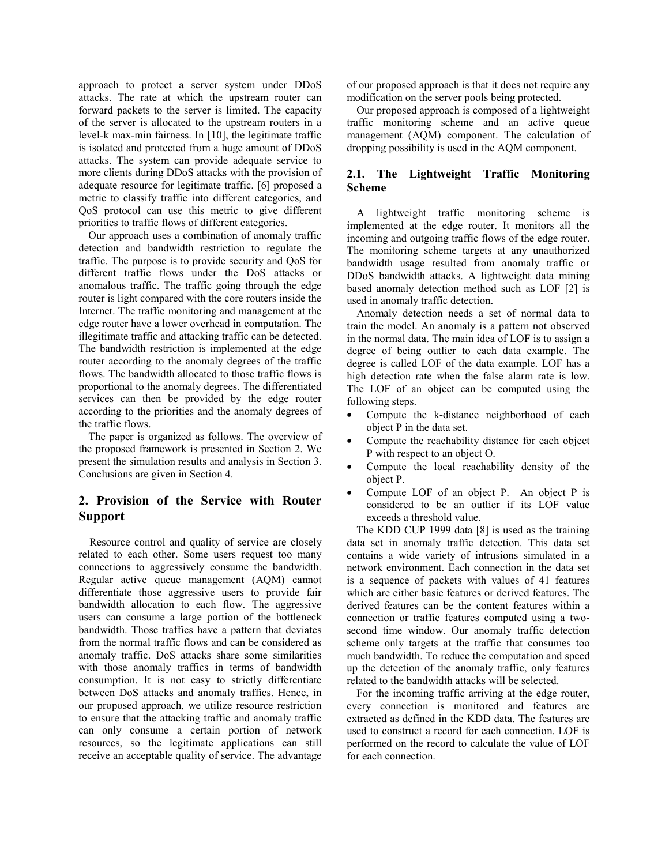approach to protect a server system under DDoS attacks. The rate at which the upstream router can forward packets to the server is limited. The capacity of the server is allocated to the upstream routers in a level-k max-min fairness. In [10], the legitimate traffic is isolated and protected from a huge amount of DDoS attacks. The system can provide adequate service to more clients during DDoS attacks with the provision of adequate resource for legitimate traffic. [6] proposed a metric to classify traffic into different categories, and QoS protocol can use this metric to give different priorities to traffic flows of different categories.

Our approach uses a combination of anomaly traffic detection and bandwidth restriction to regulate the traffic. The purpose is to provide security and QoS for different traffic flows under the DoS attacks or anomalous traffic. The traffic going through the edge router is light compared with the core routers inside the Internet. The traffic monitoring and management at the edge router have a lower overhead in computation. The illegitimate traffic and attacking traffic can be detected. The bandwidth restriction is implemented at the edge router according to the anomaly degrees of the traffic flows. The bandwidth allocated to those traffic flows is proportional to the anomaly degrees. The differentiated services can then be provided by the edge router according to the priorities and the anomaly degrees of the traffic flows.

The paper is organized as follows. The overview of the proposed framework is presented in Section 2. We present the simulation results and analysis in Section 3. Conclusions are given in Section 4.

# **2. Provision of the Service with Router Support**

 Resource control and quality of service are closely related to each other. Some users request too many connections to aggressively consume the bandwidth. Regular active queue management (AQM) cannot differentiate those aggressive users to provide fair bandwidth allocation to each flow. The aggressive users can consume a large portion of the bottleneck bandwidth. Those traffics have a pattern that deviates from the normal traffic flows and can be considered as anomaly traffic. DoS attacks share some similarities with those anomaly traffics in terms of bandwidth consumption. It is not easy to strictly differentiate between DoS attacks and anomaly traffics. Hence, in our proposed approach, we utilize resource restriction to ensure that the attacking traffic and anomaly traffic can only consume a certain portion of network resources, so the legitimate applications can still receive an acceptable quality of service. The advantage

of our proposed approach is that it does not require any modification on the server pools being protected.

Our proposed approach is composed of a lightweight traffic monitoring scheme and an active queue management (AQM) component. The calculation of dropping possibility is used in the AQM component.

## **2.1. The Lightweight Traffic Monitoring Scheme**

A lightweight traffic monitoring scheme is implemented at the edge router. It monitors all the incoming and outgoing traffic flows of the edge router. The monitoring scheme targets at any unauthorized bandwidth usage resulted from anomaly traffic or DDoS bandwidth attacks. A lightweight data mining based anomaly detection method such as LOF [2] is used in anomaly traffic detection.

Anomaly detection needs a set of normal data to train the model. An anomaly is a pattern not observed in the normal data. The main idea of LOF is to assign a degree of being outlier to each data example. The degree is called LOF of the data example. LOF has a high detection rate when the false alarm rate is low. The LOF of an object can be computed using the following steps.

- Compute the k-distance neighborhood of each object P in the data set.
- Compute the reachability distance for each object P with respect to an object O.
- Compute the local reachability density of the object P.
- Compute LOF of an object P. An object P is considered to be an outlier if its LOF value exceeds a threshold value.

The KDD CUP 1999 data [8] is used as the training data set in anomaly traffic detection. This data set contains a wide variety of intrusions simulated in a network environment. Each connection in the data set is a sequence of packets with values of 41 features which are either basic features or derived features. The derived features can be the content features within a connection or traffic features computed using a twosecond time window. Our anomaly traffic detection scheme only targets at the traffic that consumes too much bandwidth. To reduce the computation and speed up the detection of the anomaly traffic, only features related to the bandwidth attacks will be selected.

For the incoming traffic arriving at the edge router, every connection is monitored and features are extracted as defined in the KDD data. The features are used to construct a record for each connection. LOF is performed on the record to calculate the value of LOF for each connection.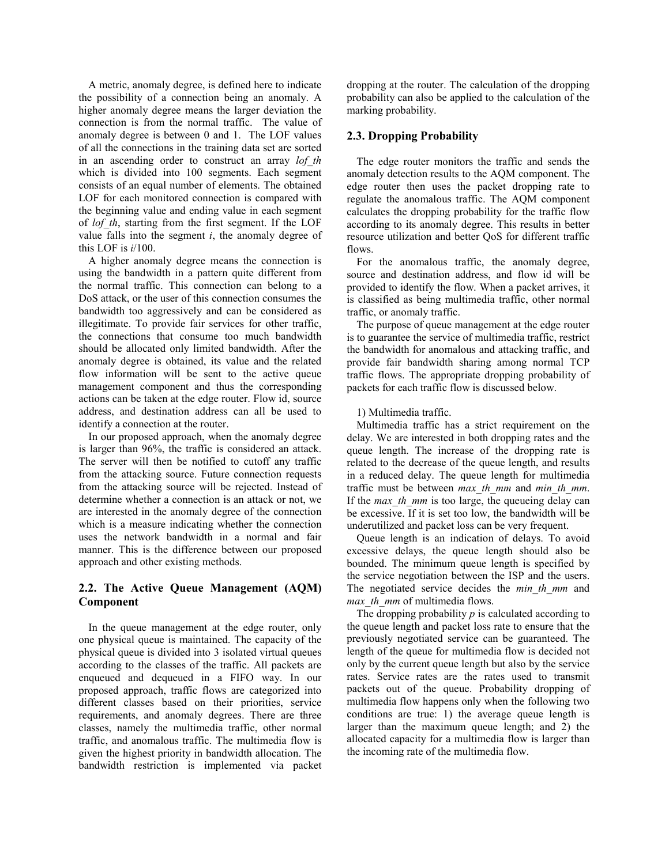A metric, anomaly degree, is defined here to indicate the possibility of a connection being an anomaly. A higher anomaly degree means the larger deviation the connection is from the normal traffic. The value of anomaly degree is between 0 and 1. The LOF values of all the connections in the training data set are sorted in an ascending order to construct an array *lof\_th* which is divided into 100 segments. Each segment consists of an equal number of elements. The obtained LOF for each monitored connection is compared with the beginning value and ending value in each segment of *lof\_th*, starting from the first segment. If the LOF value falls into the segment  $i$ , the anomaly degree of this LOF is *i*/100.

A higher anomaly degree means the connection is using the bandwidth in a pattern quite different from the normal traffic. This connection can belong to a DoS attack, or the user of this connection consumes the bandwidth too aggressively and can be considered as illegitimate. To provide fair services for other traffic, the connections that consume too much bandwidth should be allocated only limited bandwidth. After the anomaly degree is obtained, its value and the related flow information will be sent to the active queue management component and thus the corresponding actions can be taken at the edge router. Flow id, source address, and destination address can all be used to identify a connection at the router.

In our proposed approach, when the anomaly degree is larger than 96%, the traffic is considered an attack. The server will then be notified to cutoff any traffic from the attacking source. Future connection requests from the attacking source will be rejected. Instead of determine whether a connection is an attack or not, we are interested in the anomaly degree of the connection which is a measure indicating whether the connection uses the network bandwidth in a normal and fair manner. This is the difference between our proposed approach and other existing methods.

## **2.2. The Active Queue Management (AQM) Component**

In the queue management at the edge router, only one physical queue is maintained. The capacity of the physical queue is divided into 3 isolated virtual queues according to the classes of the traffic. All packets are enqueued and dequeued in a FIFO way. In our proposed approach, traffic flows are categorized into different classes based on their priorities, service requirements, and anomaly degrees. There are three classes, namely the multimedia traffic, other normal traffic, and anomalous traffic. The multimedia flow is given the highest priority in bandwidth allocation. The bandwidth restriction is implemented via packet

dropping at the router. The calculation of the dropping probability can also be applied to the calculation of the marking probability.

#### **2.3. Dropping Probability**

The edge router monitors the traffic and sends the anomaly detection results to the AQM component. The edge router then uses the packet dropping rate to regulate the anomalous traffic. The AQM component calculates the dropping probability for the traffic flow according to its anomaly degree. This results in better resource utilization and better QoS for different traffic flows.

For the anomalous traffic, the anomaly degree, source and destination address, and flow id will be provided to identify the flow. When a packet arrives, it is classified as being multimedia traffic, other normal traffic, or anomaly traffic.

The purpose of queue management at the edge router is to guarantee the service of multimedia traffic, restrict the bandwidth for anomalous and attacking traffic, and provide fair bandwidth sharing among normal TCP traffic flows. The appropriate dropping probability of packets for each traffic flow is discussed below.

1) Multimedia traffic.

Multimedia traffic has a strict requirement on the delay. We are interested in both dropping rates and the queue length. The increase of the dropping rate is related to the decrease of the queue length, and results in a reduced delay. The queue length for multimedia traffic must be between *max\_th\_mm* and *min\_th\_mm*. If the *max* th mm is too large, the queueing delay can be excessive. If it is set too low, the bandwidth will be underutilized and packet loss can be very frequent.

Queue length is an indication of delays. To avoid excessive delays, the queue length should also be bounded. The minimum queue length is specified by the service negotiation between the ISP and the users. The negotiated service decides the *min\_th\_mm* and *max\_th\_mm* of multimedia flows.

The dropping probability *p* is calculated according to the queue length and packet loss rate to ensure that the previously negotiated service can be guaranteed. The length of the queue for multimedia flow is decided not only by the current queue length but also by the service rates. Service rates are the rates used to transmit packets out of the queue. Probability dropping of multimedia flow happens only when the following two conditions are true: 1) the average queue length is larger than the maximum queue length; and 2) the allocated capacity for a multimedia flow is larger than the incoming rate of the multimedia flow.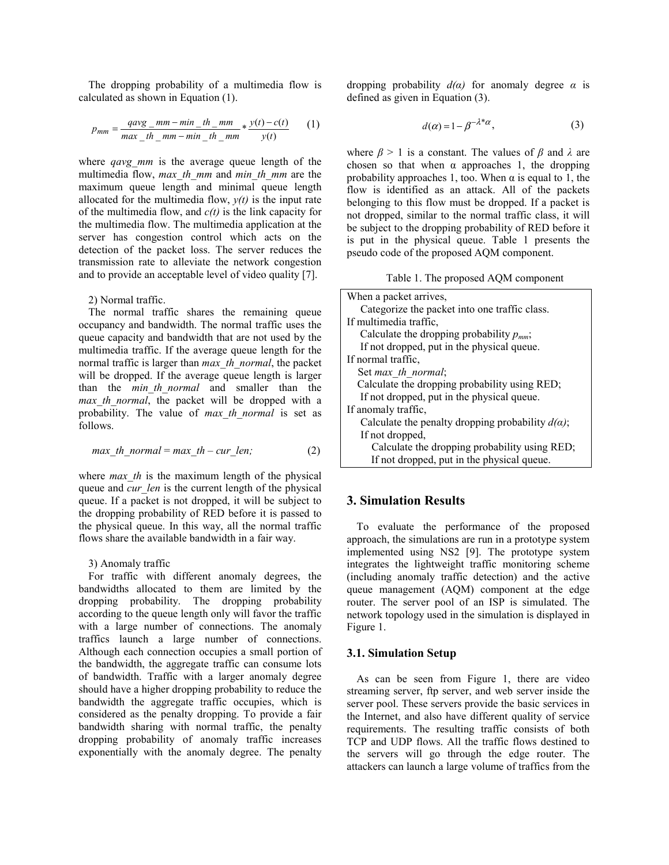The dropping probability of a multimedia flow is calculated as shown in Equation (1).

$$
p_{mm} = \frac{qavg\_mm - min\_th\_mm}{max\_th\_mm - min\_th\_mm} * \frac{y(t) - c(t)}{y(t)}
$$
(1)

where *qavg mm* is the average queue length of the multimedia flow, *max\_th\_mm* and *min\_th\_mm* are the maximum queue length and minimal queue length allocated for the multimedia flow,  $y(t)$  is the input rate of the multimedia flow, and *c(t)* is the link capacity for the multimedia flow. The multimedia application at the server has congestion control which acts on the detection of the packet loss. The server reduces the transmission rate to alleviate the network congestion and to provide an acceptable level of video quality [7].

2) Normal traffic.

The normal traffic shares the remaining queue occupancy and bandwidth. The normal traffic uses the queue capacity and bandwidth that are not used by the multimedia traffic. If the average queue length for the normal traffic is larger than *max\_th\_normal*, the packet will be dropped. If the average queue length is larger than the *min\_th\_normal* and smaller than the *max th\_normal*, the packet will be dropped with a probability. The value of *max\_th\_normal* is set as follows.

*max\_th\_normal* = *max\_th* – *cur\_len;* (2)

where *max* th is the maximum length of the physical queue and *cur\_len* is the current length of the physical queue. If a packet is not dropped, it will be subject to the dropping probability of RED before it is passed to the physical queue. In this way, all the normal traffic flows share the available bandwidth in a fair way.

3) Anomaly traffic

For traffic with different anomaly degrees, the bandwidths allocated to them are limited by the dropping probability. The dropping probability according to the queue length only will favor the traffic with a large number of connections. The anomaly traffics launch a large number of connections. Although each connection occupies a small portion of the bandwidth, the aggregate traffic can consume lots of bandwidth. Traffic with a larger anomaly degree should have a higher dropping probability to reduce the bandwidth the aggregate traffic occupies, which is considered as the penalty dropping. To provide a fair bandwidth sharing with normal traffic, the penalty dropping probability of anomaly traffic increases exponentially with the anomaly degree. The penalty dropping probability  $d(a)$  for anomaly degree  $\alpha$  is defined as given in Equation (3).

$$
d(\alpha) = 1 - \beta^{-\lambda^* \alpha},\tag{3}
$$

where  $\beta > 1$  is a constant. The values of  $\beta$  and  $\lambda$  are chosen so that when  $\alpha$  approaches 1, the dropping probability approaches 1, too. When  $\alpha$  is equal to 1, the flow is identified as an attack. All of the packets belonging to this flow must be dropped. If a packet is not dropped, similar to the normal traffic class, it will be subject to the dropping probability of RED before it is put in the physical queue. Table 1 presents the pseudo code of the proposed AQM component.

Table 1. The proposed AQM component

| When a packet arrives,                                   |
|----------------------------------------------------------|
| Categorize the packet into one traffic class.            |
| If multimedia traffic,                                   |
| Calculate the dropping probability $p_{mn}$ ;            |
| If not dropped, put in the physical queue.               |
| If normal traffic,                                       |
| Set max th normal;                                       |
| Calculate the dropping probability using RED;            |
| If not dropped, put in the physical queue.               |
| If anomaly traffic,                                      |
| Calculate the penalty dropping probability $d(\alpha)$ ; |
| If not dropped,                                          |
| Calculate the dropping probability using RED;            |
| If not dropped, put in the physical queue.               |

## **3. Simulation Results**

To evaluate the performance of the proposed approach, the simulations are run in a prototype system implemented using NS2 [9]. The prototype system integrates the lightweight traffic monitoring scheme (including anomaly traffic detection) and the active queue management (AQM) component at the edge router. The server pool of an ISP is simulated. The network topology used in the simulation is displayed in Figure 1.

#### **3.1. Simulation Setup**

As can be seen from Figure 1, there are video streaming server, ftp server, and web server inside the server pool. These servers provide the basic services in the Internet, and also have different quality of service requirements. The resulting traffic consists of both TCP and UDP flows. All the traffic flows destined to the servers will go through the edge router. The attackers can launch a large volume of traffics from the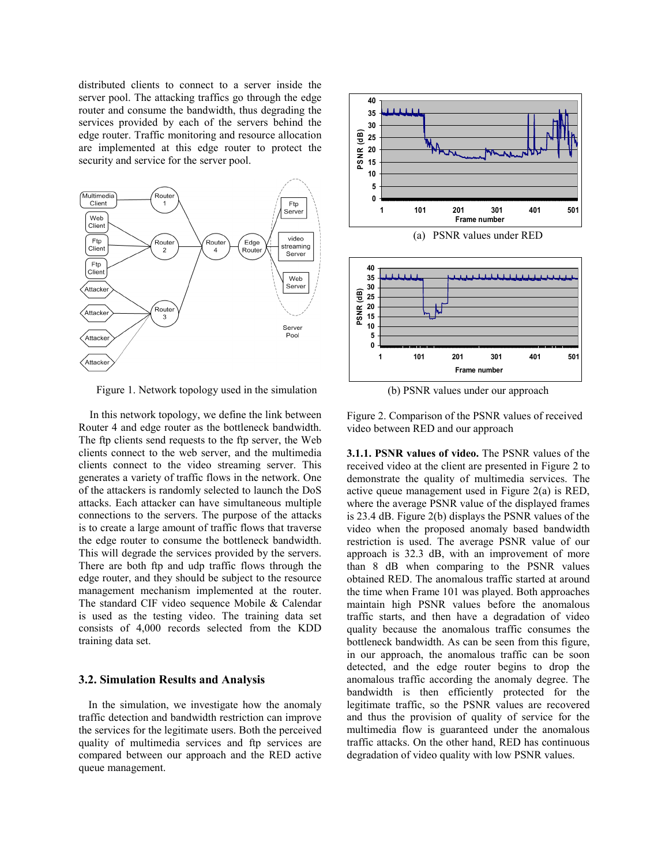distributed clients to connect to a server inside the server pool. The attacking traffics go through the edge router and consume the bandwidth, thus degrading the services provided by each of the servers behind the edge router. Traffic monitoring and resource allocation are implemented at this edge router to protect the security and service for the server pool.



Figure 1. Network topology used in the simulation

 In this network topology, we define the link between Router 4 and edge router as the bottleneck bandwidth. The ftp clients send requests to the ftp server, the Web clients connect to the web server, and the multimedia clients connect to the video streaming server. This generates a variety of traffic flows in the network. One of the attackers is randomly selected to launch the DoS attacks. Each attacker can have simultaneous multiple connections to the servers. The purpose of the attacks is to create a large amount of traffic flows that traverse the edge router to consume the bottleneck bandwidth. This will degrade the services provided by the servers. There are both ftp and udp traffic flows through the edge router, and they should be subject to the resource management mechanism implemented at the router. The standard CIF video sequence Mobile & Calendar is used as the testing video. The training data set consists of 4,000 records selected from the KDD training data set.

#### **3.2. Simulation Results and Analysis**

In the simulation, we investigate how the anomaly traffic detection and bandwidth restriction can improve the services for the legitimate users. Both the perceived quality of multimedia services and ftp services are compared between our approach and the RED active queue management.





(b) PSNR values under our approach

Figure 2. Comparison of the PSNR values of received video between RED and our approach

**3.1.1. PSNR values of video.** The PSNR values of the received video at the client are presented in Figure 2 to demonstrate the quality of multimedia services. The active queue management used in Figure 2(a) is RED, where the average PSNR value of the displayed frames is 23.4 dB. Figure 2(b) displays the PSNR values of the video when the proposed anomaly based bandwidth restriction is used. The average PSNR value of our approach is 32.3 dB, with an improvement of more than 8 dB when comparing to the PSNR values obtained RED. The anomalous traffic started at around the time when Frame 101 was played. Both approaches maintain high PSNR values before the anomalous traffic starts, and then have a degradation of video quality because the anomalous traffic consumes the bottleneck bandwidth. As can be seen from this figure, in our approach, the anomalous traffic can be soon detected, and the edge router begins to drop the anomalous traffic according the anomaly degree. The bandwidth is then efficiently protected for the legitimate traffic, so the PSNR values are recovered and thus the provision of quality of service for the multimedia flow is guaranteed under the anomalous traffic attacks. On the other hand, RED has continuous degradation of video quality with low PSNR values.